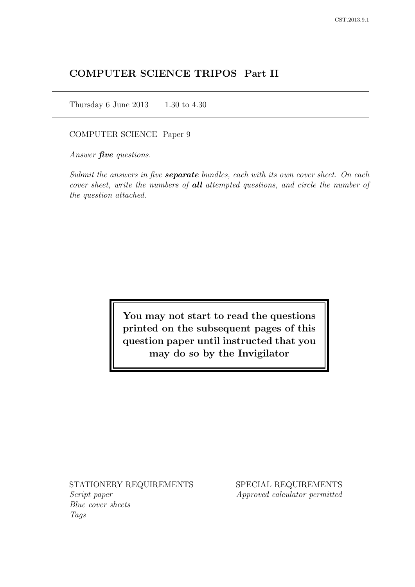# COMPUTER SCIENCE TRIPOS Part II

Thursday 6 June 2013 1.30 to 4.30

COMPUTER SCIENCE Paper 9

Answer *five* questions.

Submit the answers in five **separate** bundles, each with its own cover sheet. On each cover sheet, write the numbers of **all** attempted questions, and circle the number of the question attached.

> You may not start to read the questions printed on the subsequent pages of this question paper until instructed that you may do so by the Invigilator

STATIONERY REQUIREMENTS Script paper Blue cover sheets

Tags

SPECIAL REQUIREMENTS Approved calculator permitted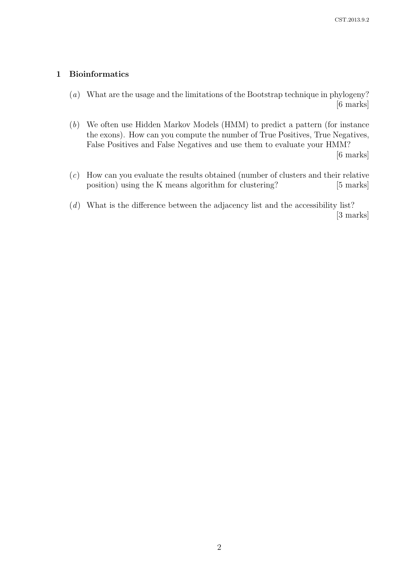# 1 Bioinformatics

(a) What are the usage and the limitations of the Bootstrap technique in phylogeny? [6 marks]

(b) We often use Hidden Markov Models (HMM) to predict a pattern (for instance the exons). How can you compute the number of True Positives, True Negatives, False Positives and False Negatives and use them to evaluate your HMM? [6 marks]

(c) How can you evaluate the results obtained (number of clusters and their relative position) using the K means algorithm for clustering? [5 marks]

(d) What is the difference between the adjacency list and the accessibility list? [3 marks]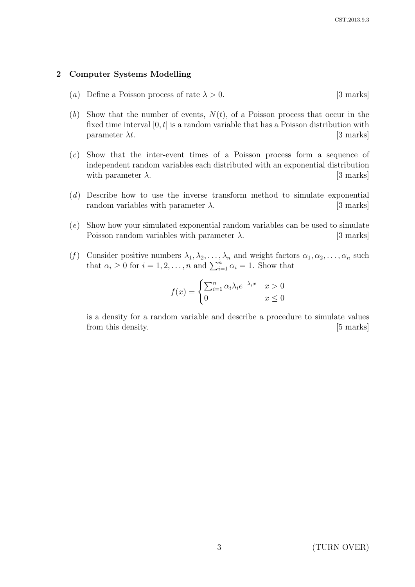### 2 Computer Systems Modelling

- (a) Define a Poisson process of rate  $\lambda > 0$ . [3 marks]
- (b) Show that the number of events,  $N(t)$ , of a Poisson process that occur in the fixed time interval  $[0, t]$  is a random variable that has a Poisson distribution with parameter  $\lambda t$ . [3 marks]
- (c) Show that the inter-event times of a Poisson process form a sequence of independent random variables each distributed with an exponential distribution with parameter  $\lambda$ . [3 marks]
- (d) Describe how to use the inverse transform method to simulate exponential random variables with parameter  $\lambda$ . [3 marks]
- (e) Show how your simulated exponential random variables can be used to simulate Poisson random variables with parameter  $\lambda$ . [3 marks]
- (f) Consider positive numbers  $\lambda_1, \lambda_2, \ldots, \lambda_n$  and weight factors  $\alpha_1, \alpha_2, \ldots, \alpha_n$  such that  $\alpha_i \geq 0$  for  $i = 1, 2, ..., n$  and  $\sum_{i=1}^{n} \alpha_i = 1$ . Show that

$$
f(x) = \begin{cases} \sum_{i=1}^{n} \alpha_i \lambda_i e^{-\lambda_i x} & x > 0 \\ 0 & x \le 0 \end{cases}
$$

is a density for a random variable and describe a procedure to simulate values from this density. [5 marks]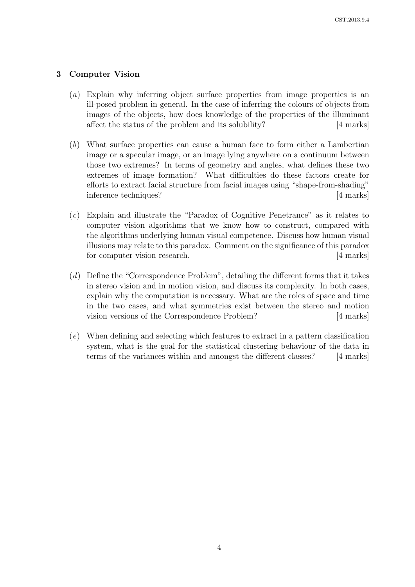# 3 Computer Vision

- (a) Explain why inferring object surface properties from image properties is an ill-posed problem in general. In the case of inferring the colours of objects from images of the objects, how does knowledge of the properties of the illuminant affect the status of the problem and its solubility? [4 marks]
- (b) What surface properties can cause a human face to form either a Lambertian image or a specular image, or an image lying anywhere on a continuum between those two extremes? In terms of geometry and angles, what defines these two extremes of image formation? What difficulties do these factors create for efforts to extract facial structure from facial images using "shape-from-shading" inference techniques? [4 marks]
- (c) Explain and illustrate the "Paradox of Cognitive Penetrance" as it relates to computer vision algorithms that we know how to construct, compared with the algorithms underlying human visual competence. Discuss how human visual illusions may relate to this paradox. Comment on the significance of this paradox for computer vision research. [4 marks]
- (d) Define the "Correspondence Problem", detailing the different forms that it takes in stereo vision and in motion vision, and discuss its complexity. In both cases, explain why the computation is necessary. What are the roles of space and time in the two cases, and what symmetries exist between the stereo and motion vision versions of the Correspondence Problem? [4 marks]
- (e) When defining and selecting which features to extract in a pattern classification system, what is the goal for the statistical clustering behaviour of the data in terms of the variances within and amongst the different classes? [4 marks]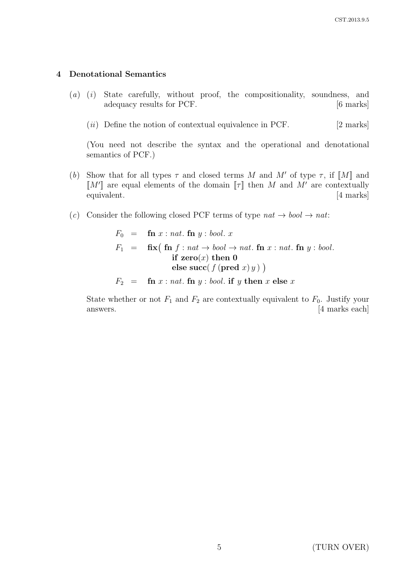#### 4 Denotational Semantics

- (a) (i) State carefully, without proof, the compositionality, soundness, and adequacy results for PCF. [6 marks]
	- $(ii)$  Define the notion of contextual equivalence in PCF. [2 marks]

(You need not describe the syntax and the operational and denotational semantics of PCF.)

- (b) Show that for all types  $\tau$  and closed terms M and M' of type  $\tau$ , if  $\llbracket M \rrbracket$  and  $\llbracket M' \rrbracket$  are equal elements of the domain  $\llbracket \tau \rrbracket$  then M and M' are contextually equivalent. [4 marks]
- (c) Consider the following closed PCF terms of type  $nat \rightarrow bool \rightarrow nat$ :

$$
F_0 = \textbf{fn} \ x : \textit{nat.} \ \textbf{fn} \ y : \textit{bool.} \ x
$$
\n
$$
F_1 = \textbf{fix} \big( \textbf{fn} \ f : \textit{nat} \to \textit{bool} \to \textit{nat.} \ \textbf{fn} \ x : \textit{nat.} \ \textbf{fn} \ y : \textit{bool.}
$$
\n
$$
\textbf{if} \ \textbf{zero}(x) \ \textbf{then} \ 0
$$
\n
$$
\textbf{else} \ \textbf{succ} \big( \ f \big( \textbf{pred} \ x \big) \ y \big) \ \big)
$$

 $F_2 = \text{fn } x : \text{nat.} \text{fn } y : \text{bool.} \text{ if } y \text{ then } x \text{ else } x$ 

State whether or not  $F_1$  and  $F_2$  are contextually equivalent to  $F_0$ . Justify your answers. [4 marks each]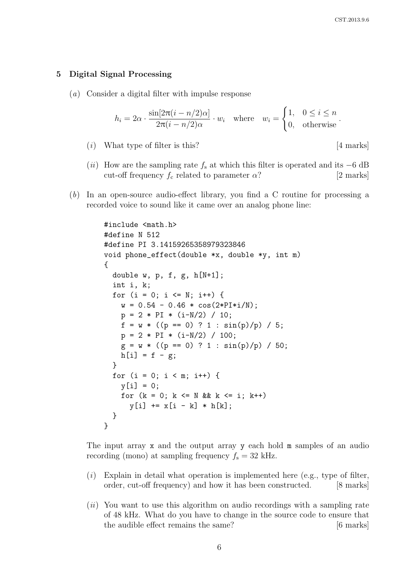#### 5 Digital Signal Processing

(a) Consider a digital filter with impulse response

$$
h_i = 2\alpha \cdot \frac{\sin[2\pi(i - n/2)\alpha]}{2\pi(i - n/2)\alpha} \cdot w_i \quad \text{where} \quad w_i = \begin{cases} 1, & 0 \le i \le n \\ 0, & \text{otherwise} \end{cases}.
$$

(*i*) What type of filter is this?  $[4 \text{ marks}]$ 

- (ii) How are the sampling rate  $f_s$  at which this filter is operated and its  $-6$  dB cut-off frequency  $f_c$  related to parameter  $\alpha$ ? [2 marks]
- (b) In an open-source audio-effect library, you find a C routine for processing a recorded voice to sound like it came over an analog phone line:

```
#include <math.h>
#define N 512
#define PI 3.14159265358979323846
void phone_effect(double *x, double *y, int m)
{
  double w, p, f, g, h[N+1];
  int i, k;
  for (i = 0; i \le N; i++) {
    w = 0.54 - 0.46 * cos(2*PI* i/N);p = 2 * PI * (i-N/2) / 10;f = w * ((p == 0) ? 1 : sin(p)/p) / 5;p = 2 * PI * (i-N/2) / 100;g = w * ((p == 0) ? 1 : sin(p)/p) / 50;h[i] = f - g;}
  for (i = 0; i < m; i++) {
    v[i] = 0;
    for (k = 0; k \le N & k \le i; k++)y[i] += x[i - k] * h[k];}
}
```
The input array x and the output array y each hold m samples of an audio recording (mono) at sampling frequency  $f_s = 32$  kHz.

- $(i)$  Explain in detail what operation is implemented here (e.g., type of filter, order, cut-off frequency) and how it has been constructed. [8 marks]
- $(ii)$  You want to use this algorithm on audio recordings with a sampling rate of 48 kHz. What do you have to change in the source code to ensure that the audible effect remains the same? [6 marks]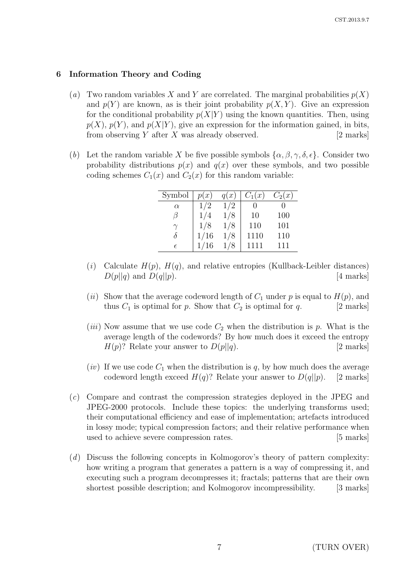# 6 Information Theory and Coding

- (a) Two random variables X and Y are correlated. The marginal probabilities  $p(X)$ and  $p(Y)$  are known, as is their joint probability  $p(X, Y)$ . Give an expression for the conditional probability  $p(X|Y)$  using the known quantities. Then, using  $p(X)$ ,  $p(Y)$ , and  $p(X|Y)$ , give an expression for the information gained, in bits, from observing  $Y$  after  $X$  was already observed. [2 marks]
- (b) Let the random variable X be five possible symbols  $\{\alpha, \beta, \gamma, \delta, \epsilon\}$ . Consider two probability distributions  $p(x)$  and  $q(x)$  over these symbols, and two possible coding schemes  $C_1(x)$  and  $C_2(x)$  for this random variable:

| Symbol     | p(x) | q(x) | $C_1(x)$ | $C_2(x)$ |
|------------|------|------|----------|----------|
| $\alpha$   | 1/2  | 1/2  |          |          |
| 17         | 1/4  | 1/8  | 10       | 100      |
|            | 1/8  | 1/8  | 110      | 101      |
| δ          | 1/16 | 1/8  | 1110     | 110      |
| $\epsilon$ | 1/16 | /8   | 1111     | 111      |

- (i) Calculate  $H(p)$ ,  $H(q)$ , and relative entropies (Kullback-Leibler distances)  $D(p||q)$  and  $D(q||p)$ . [4 marks]
- (ii) Show that the average codeword length of  $C_1$  under p is equal to  $H(p)$ , and thus  $C_1$  is optimal for p. Show that  $C_2$  is optimal for q. [2 marks]
- (*iii*) Now assume that we use code  $C_2$  when the distribution is p. What is the average length of the codewords? By how much does it exceed the entropy  $H(p)$ ? Relate your answer to  $D(p||q)$ . [2 marks]
- (*iv*) If we use code  $C_1$  when the distribution is q, by how much does the average codeword length exceed  $H(q)$ ? Relate your answer to  $D(q||p)$ . [2 marks]
- (c) Compare and contrast the compression strategies deployed in the JPEG and JPEG-2000 protocols. Include these topics: the underlying transforms used; their computational efficiency and ease of implementation; artefacts introduced in lossy mode; typical compression factors; and their relative performance when used to achieve severe compression rates. [5 marks]
- (d) Discuss the following concepts in Kolmogorov's theory of pattern complexity: how writing a program that generates a pattern is a way of compressing it, and executing such a program decompresses it; fractals; patterns that are their own shortest possible description; and Kolmogorov incompressibility. [3 marks]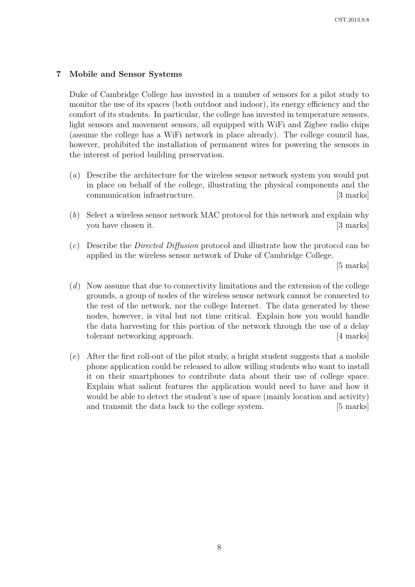# 7 Mobile and Sensor Systems

Duke of Cambridge College has invested in a number of sensors for a pilot study to monitor the use of its spaces (both outdoor and indoor), its energy efficiency and the comfort of its students. In particular, the college has invested in temperature sensors, light sensors and movement sensors, all equipped with WiFi and Zigbee radio chips (assume the college has a WiFi network in place already). The college council has, however, prohibited the installation of permanent wires for powering the sensors in the interest of period building preservation.

- (a) Describe the architecture for the wireless sensor network system you would put in place on behalf of the college, illustrating the physical components and the communication infrastructure. [3 marks]
- (b) Select a wireless sensor network MAC protocol for this network and explain why you have chosen it. [3 marks]
- (c) Describe the Directed Diffusion protocol and illustrate how the protocol can be applied in the wireless sensor network of Duke of Cambridge College.

[5 marks]

- $(d)$  Now assume that due to connectivity limitations and the extension of the college grounds, a group of nodes of the wireless sensor network cannot be connected to the rest of the network, nor the college Internet. The data generated by these nodes, however, is vital but not time critical. Explain how you would handle the data harvesting for this portion of the network through the use of a delay tolerant networking approach. [4 marks]
- (e) After the first roll-out of the pilot study, a bright student suggests that a mobile phone application could be released to allow willing students who want to install it on their smartphones to contribute data about their use of college space. Explain what salient features the application would need to have and how it would be able to detect the student's use of space (mainly location and activity) and transmit the data back to the college system. [5 marks]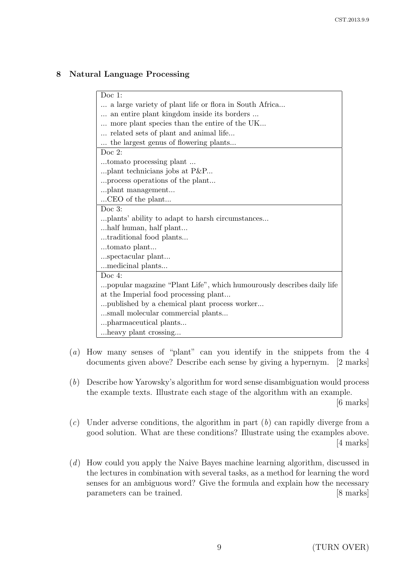# 8 Natural Language Processing

| Doc 1:                                                                |  |  |
|-----------------------------------------------------------------------|--|--|
| a large variety of plant life or flora in South Africa                |  |  |
| an entire plant kingdom inside its borders                            |  |  |
| more plant species than the entire of the UK                          |  |  |
| related sets of plant and animal life                                 |  |  |
| the largest genus of flowering plants                                 |  |  |
| Doc $2$ :                                                             |  |  |
| tomato processing plant                                               |  |  |
| plant technicians jobs at $P\&P$                                      |  |  |
| process operations of the plant                                       |  |  |
| plant management                                                      |  |  |
| CEO of the plant                                                      |  |  |
| Doc $3$ :                                                             |  |  |
|                                                                       |  |  |
| alf human, half plant                                                 |  |  |
| traditional food plants                                               |  |  |
| tomato plant                                                          |  |  |
| spectacular plant                                                     |  |  |
| medicinal plants                                                      |  |  |
| Doc 4:                                                                |  |  |
| popular magazine "Plant Life", which humourously describes daily life |  |  |
| at the Imperial food processing plant                                 |  |  |
| published by a chemical plant process worker                          |  |  |
| small molecular commercial plants                                     |  |  |
| pharmaceutical plants                                                 |  |  |
| heavy plant crossing                                                  |  |  |
|                                                                       |  |  |

- (a) How many senses of "plant" can you identify in the snippets from the 4 documents given above? Describe each sense by giving a hypernym. [2 marks]
- (b) Describe how Yarowsky's algorithm for word sense disambiguation would process the example texts. Illustrate each stage of the algorithm with an example. [6 marks]

 $(c)$  Under adverse conditions, the algorithm in part  $(b)$  can rapidly diverge from a good solution. What are these conditions? Illustrate using the examples above.

(d) How could you apply the Naive Bayes machine learning algorithm, discussed in the lectures in combination with several tasks, as a method for learning the word senses for an ambiguous word? Give the formula and explain how the necessary parameters can be trained. [8 marks]

[4 marks]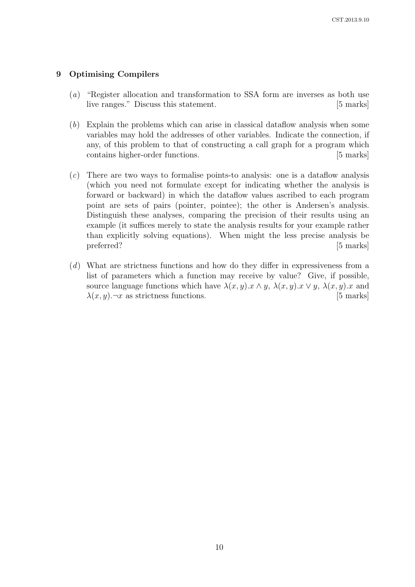### 9 Optimising Compilers

- (a) "Register allocation and transformation to SSA form are inverses as both use live ranges." Discuss this statement. [5 marks]
- (b) Explain the problems which can arise in classical dataflow analysis when some variables may hold the addresses of other variables. Indicate the connection, if any, of this problem to that of constructing a call graph for a program which contains higher-order functions. [5 marks]
- (c) There are two ways to formalise points-to analysis: one is a dataflow analysis (which you need not formulate except for indicating whether the analysis is forward or backward) in which the dataflow values ascribed to each program point are sets of pairs (pointer, pointee); the other is Andersen's analysis. Distinguish these analyses, comparing the precision of their results using an example (it suffices merely to state the analysis results for your example rather than explicitly solving equations). When might the less precise analysis be preferred? [5 marks]
- (d) What are strictness functions and how do they differ in expressiveness from a list of parameters which a function may receive by value? Give, if possible, source language functions which have  $\lambda(x, y) \cdot x \wedge y$ ,  $\lambda(x, y) \cdot x \vee y$ ,  $\lambda(x, y) \cdot x$  and  $\lambda(x, y)$ . $\neg x$  as strictness functions. [5 marks]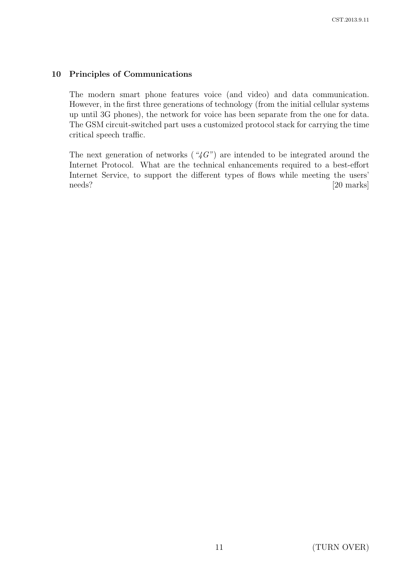# 10 Principles of Communications

The modern smart phone features voice (and video) and data communication. However, in the first three generations of technology (from the initial cellular systems up until 3G phones), the network for voice has been separate from the one for data. The GSM circuit-switched part uses a customized protocol stack for carrying the time critical speech traffic.

The next generation of networks ( $4G'$ ) are intended to be integrated around the Internet Protocol. What are the technical enhancements required to a best-effort Internet Service, to support the different types of flows while meeting the users' needs? [20 marks]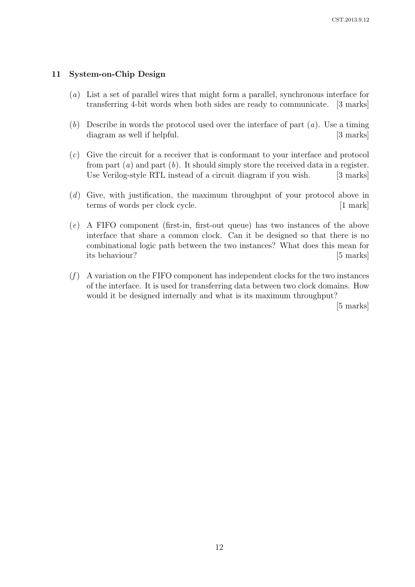### 11 System-on-Chip Design

- (a) List a set of parallel wires that might form a parallel, synchronous interface for transferring 4-bit words when both sides are ready to communicate. [3 marks]
- (b) Describe in words the protocol used over the interface of part  $(a)$ . Use a timing diagram as well if helpful. [3 marks]
- (c) Give the circuit for a receiver that is conformant to your interface and protocol from part  $(a)$  and part  $(b)$ . It should simply store the received data in a register. Use Verilog-style RTL instead of a circuit diagram if you wish. [3 marks]
- (d) Give, with justification, the maximum throughput of your protocol above in terms of words per clock cycle. [1 mark]
- (e) A FIFO component (first-in, first-out queue) has two instances of the above interface that share a common clock. Can it be designed so that there is no combinational logic path between the two instances? What does this mean for its behaviour? [5 marks]
- $(f)$  A variation on the FIFO component has independent clocks for the two instances of the interface. It is used for transferring data between two clock domains. How would it be designed internally and what is its maximum throughput?

[5 marks]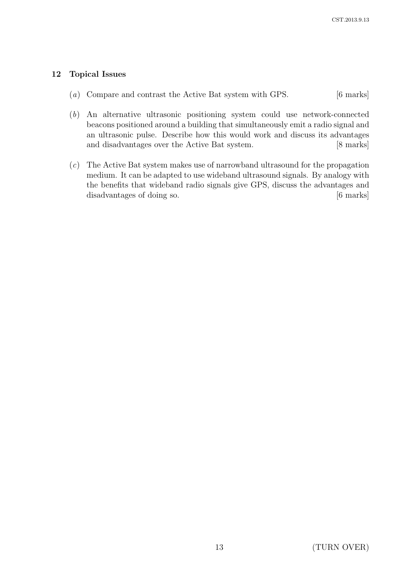# 12 Topical Issues

- (a) Compare and contrast the Active Bat system with GPS. [6 marks]
- (b) An alternative ultrasonic positioning system could use network-connected beacons positioned around a building that simultaneously emit a radio signal and an ultrasonic pulse. Describe how this would work and discuss its advantages and disadvantages over the Active Bat system. [8 marks]
- (c) The Active Bat system makes use of narrowband ultrasound for the propagation medium. It can be adapted to use wideband ultrasound signals. By analogy with the benefits that wideband radio signals give GPS, discuss the advantages and disadvantages of doing so. [6 marks]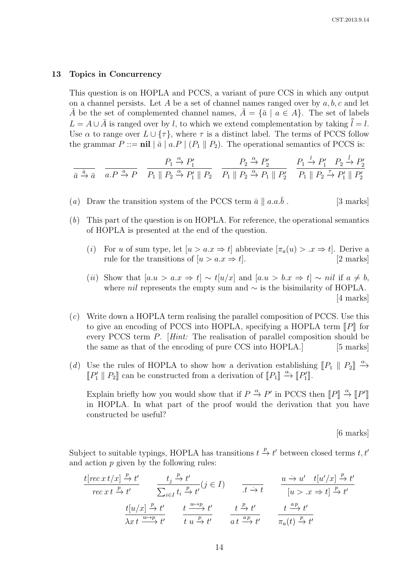#### 13 Topics in Concurrency

This question is on HOPLA and PCCS, a variant of pure CCS in which any output on a channel persists. Let A be a set of channel names ranged over by  $a, b, c$  and let  $\overline{A}$  be the set of complemented channel names,  $\overline{A} = {\overline{a} \mid a \in A}$ . The set of labels  $L = A \cup \overline{A}$  is ranged over by l, to which we extend complementation by taking  $\overline{l} = l$ . Use  $\alpha$  to range over  $L \cup \{\tau\}$ , where  $\tau$  is a distinct label. The terms of PCCS follow the grammar  $P ::= \textbf{nil} | \bar{a} | a.P | (P_1 || P_2)$ . The operational semantics of PCCS is:

$$
\frac{}{\bar{a}\overset{\bar{a}}{\rightarrow}\bar{a}}\quad \frac{}{a.P\overset{a}{\rightarrow}P}\quad \frac{P_1\overset{\alpha}{\rightarrow}P_1'}{P_1\parallel P_2\overset{\alpha}{\rightarrow}P_1'\parallel P_2}\quad \frac{P_2\overset{\alpha}{\rightarrow}P_2'}{P_1\parallel P_2\overset{\alpha}{\rightarrow}P_1\parallel P_2'}\quad \frac{P_1\overset{l}{\rightarrow}P_1'}{P_1\parallel P_2\overset{\tau}{\rightarrow}P_1'\parallel P_2'}
$$

- (a) Draw the transition system of the PCCS term  $\bar{a} \parallel a.a.\bar{b}$ . [3 marks]
- (b) This part of the question is on HOPLA. For reference, the operational semantics of HOPLA is presented at the end of the question.
	- (i) For u of sum type, let  $[u > a.x \Rightarrow t]$  abbreviate  $[\pi_a(u) > x \Rightarrow t]$ . Derive a rule for the transitions of  $[u > a.x \Rightarrow t]$ . [2 marks]
	- (ii) Show that  $[a.u > a.x \Rightarrow t] \sim t[u/x]$  and  $[a.u > b.x \Rightarrow t] \sim nil$  if  $a \neq b$ , where *nil* represents the empty sum and  $\sim$  is the bisimilarity of HOPLA. [4 marks]
- (c) Write down a HOPLA term realising the parallel composition of PCCS. Use this to give an encoding of PCCS into HOPLA, specifying a HOPLA term  $\llbracket P \rrbracket$  for every PCCS term P. [Hint: The realisation of parallel composition should be the same as that of the encoding of pure CCS into HOPLA. [5 marks]
- (d) Use the rules of HOPLA to show how a derivation establishing  $\llbracket P_1 \parallel P_2 \rrbracket \xrightarrow{\alpha} \mathbb{E}_{P} \parallel P \parallel \text{gen}$  be constructed from a derivation of  $\llbracket P \rrbracket \xrightarrow{\alpha} \mathbb{E}_{P} \parallel P_1 \parallel P_2 \rrbracket$  $\llbracket P'_1 \rrbracket \cdot P_2 \rrbracket$  can be constructed from a derivation of  $\llbracket P_1 \rrbracket \xrightarrow{\alpha} \llbracket P'_1 \rrbracket$ .

Explain briefly how you would show that if  $P \stackrel{\alpha}{\rightarrow} P'$  in PCCS then  $[[P]] \stackrel{\alpha}{\rightarrow} [[P']$ <br>in HOPLA. In what part of the proof would the derivation that you have Explain Strong how you would show that  $H_1$  is a mean of  $\Gamma$  is a mean of  $\Gamma$  is a mean of  $\Gamma$  is a mean of  $\Gamma$  is a mean of  $\Gamma$  is a mean of  $\Gamma$  is a mean of  $\Gamma$  is a mean of  $\Gamma$  is a mean of  $\Gamma$  is a mean of constructed be useful?

[6 marks]

Subject to suitable typings, HOPLA has transitions  $t \stackrel{p}{\to} t'$  between closed terms  $t, t'$ and action  $p$  given by the following rules:

$$
\frac{t[rec\;xt\;x] \xrightarrow{p} t'}{rec\;xt\;x} \quad \frac{t_j \xrightarrow{p} t'}{\sum_{i \in I} t_i \xrightarrow{p} t'} \quad (j \in I) \quad \frac{u \xrightarrow{u} u' \quad t[u'/x] \xrightarrow{p} t'}{[u > .x \Rightarrow t] \xrightarrow{p} t'}
$$
\n
$$
\frac{t[u/x] \xrightarrow{p} t'}{\lambda x t \xrightarrow{u \xrightarrow{p}} t'} \quad \frac{t \xrightarrow{u \xrightarrow{p}} t'}{t \; u \xrightarrow{p} t'} \quad \frac{t \xrightarrow{p} t'}{a t \xrightarrow{a p} t'} \quad \frac{t \xrightarrow{a p} t'}{\pi_a(t) \xrightarrow{p} t'}
$$